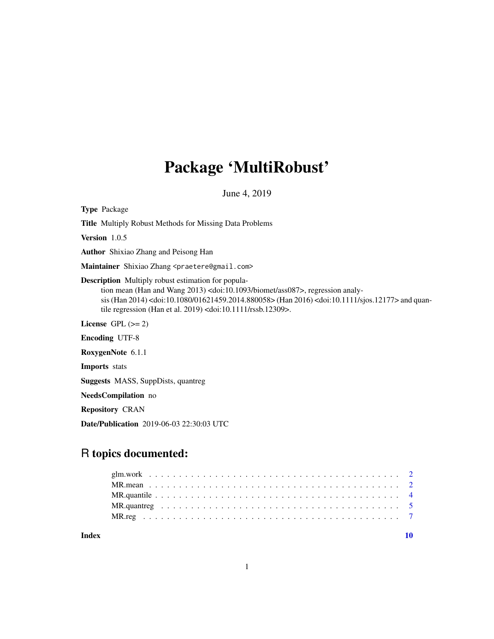## Package 'MultiRobust'

June 4, 2019

<span id="page-0-0"></span>Type Package Title Multiply Robust Methods for Missing Data Problems Version 1.0.5 Author Shixiao Zhang and Peisong Han Maintainer Shixiao Zhang <praetere@gmail.com> Description Multiply robust estimation for population mean (Han and Wang 2013) <doi:10.1093/biomet/ass087>, regression analysis (Han 2014) <doi:10.1080/01621459.2014.880058> (Han 2016) <doi:10.1111/sjos.12177> and quantile regression (Han et al. 2019) <doi:10.1111/rssb.12309>. License GPL  $(>= 2)$ Encoding UTF-8 RoxygenNote 6.1.1 Imports stats Suggests MASS, SuppDists, quantreg NeedsCompilation no

Repository CRAN

Date/Publication 2019-06-03 22:30:03 UTC

### R topics documented:

 $\blacksquare$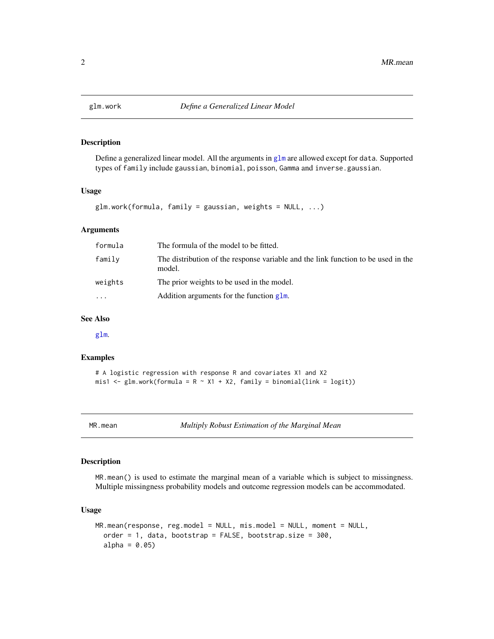<span id="page-1-1"></span><span id="page-1-0"></span>

#### Description

Define a generalized linear model. All the arguments in [glm](#page-0-0) are allowed except for data. Supported types of family include gaussian, binomial, poisson, Gamma and inverse.gaussian.

#### Usage

```
glm.work(formula, family = gaussian, weights = NULL, ...)
```
#### Arguments

| formula | The formula of the model to be fitted.                                                      |
|---------|---------------------------------------------------------------------------------------------|
| family  | The distribution of the response variable and the link function to be used in the<br>model. |
| weights | The prior weights to be used in the model.                                                  |
| .       | Addition arguments for the function glm.                                                    |

#### See Also

[glm](#page-0-0).

#### Examples

```
# A logistic regression with response R and covariates X1 and X2
mis1 <- glm.work(formula = R \sim X1 + X2, family = binomial(link = logit))
```
MR.mean *Multiply Robust Estimation of the Marginal Mean*

#### Description

MR.mean() is used to estimate the marginal mean of a variable which is subject to missingness. Multiple missingness probability models and outcome regression models can be accommodated.

#### Usage

```
MR.mean(response, reg.model = NULL, mis.model = NULL, moment = NULL,
 order = 1, data, bootstrap = FALSE, bootstrap.size = 300,
  alpha = 0.05
```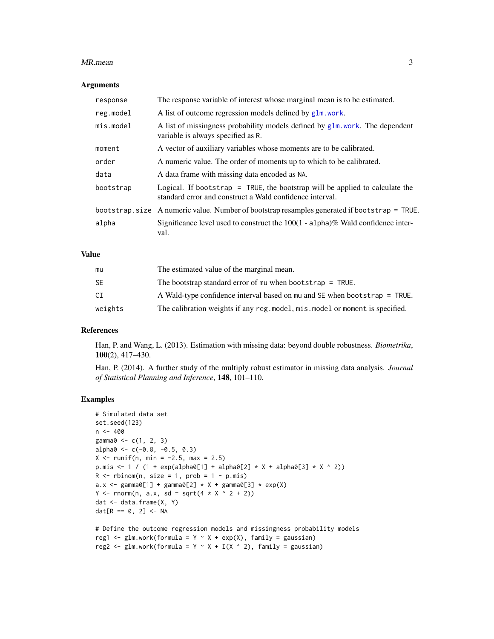#### <span id="page-2-0"></span>MR.mean 3

#### Arguments

| response    | The response variable of interest whose marginal mean is to be estimated.                                                                |
|-------------|------------------------------------------------------------------------------------------------------------------------------------------|
| reg.model   | A list of outcome regression models defined by glm. work.                                                                                |
| $mis_model$ | A list of missingness probability models defined by $g1m$ , work. The dependent<br>variable is always specified as R.                    |
| moment      | A vector of auxiliary variables whose moments are to be calibrated.                                                                      |
| order       | A numeric value. The order of moments up to which to be calibrated.                                                                      |
| data        | A data frame with missing data encoded as NA.                                                                                            |
| bootstrap   | Logical. If bootstrap = TRUE, the bootstrap will be applied to calculate the<br>standard error and construct a Wald confidence interval. |
|             | bootstrap.size A numeric value. Number of bootstrap resamples generated if bootstrap = TRUE.                                             |
| alpha       | Significance level used to construct the $100(1 - \text{alpha})\%$ Wald confidence inter-<br>val.                                        |

#### Value

| mu        | The estimated value of the marginal mean.                                     |
|-----------|-------------------------------------------------------------------------------|
| <b>SE</b> | The bootstrap standard error of mu when bootstrap $=$ TRUE.                   |
| CI        | A Wald-type confidence interval based on mu and SE when bootstrap = TRUE.     |
| weights   | The calibration weights if any reg. model, mis. model or moment is specified. |

#### References

Han, P. and Wang, L. (2013). Estimation with missing data: beyond double robustness. *Biometrika*, 100(2), 417–430.

Han, P. (2014). A further study of the multiply robust estimator in missing data analysis. *Journal of Statistical Planning and Inference*, 148, 101–110.

#### Examples

```
# Simulated data set
set.seed(123)
n < -400gamma@ < -c(1, 2, 3)alpha0 \leq c(-0.8, -0.5, 0.3)X \le runif(n, min = -2.5, max = 2.5)
p.mis \le 1 / (1 + exp(alpha0[1] + alpha0[2] * X + alpha0[3] * X ^ 2))R \le - rbinom(n, size = 1, prob = 1 - p.mis)
a.x <- gamma0[1] + gamma0[2] * X + gamma0[3] * exp(X)Y \leq -rnorm(n, a.x, sd = sqrt(4 * X * 2 + 2))dat <- data.frame(X, Y)
dat[R == 0, 2] < -NA# Define the outcome regression models and missingness probability models
```

```
reg2 \leq glm.work(formula = Y \sim X + I(X \wedge 2), family = gaussian)
```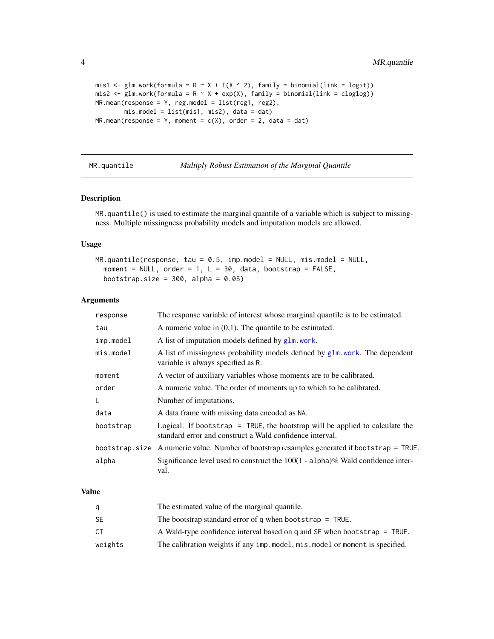```
mis1 <- glm.work(formula = R \sim X + I(X \sim 2), family = binomial(link = logit))
mis2 <- glm.work(formula = R \sim X + exp(X), family = binomial(link = cloglog))
MR.mean(response = Y, reg.model = list(reg1, reg2),
        mis.model = list(mis1, mis2), data = dat)
MR_mean(response = Y, moment = c(X), order = 2, data = dat)
```
MR.quantile *Multiply Robust Estimation of the Marginal Quantile*

#### Description

MR.quantile() is used to estimate the marginal quantile of a variable which is subject to missingness. Multiple missingness probability models and imputation models are allowed.

#### Usage

```
MR.quantile(response, tau = 0.5, imp.model = NULL, mis.model = NULL,
  moment = NULL, order = 1, L = 30, data, bootstrap = FALSE,
 bootstrap.size = 300, alpha = 0.05)
```
#### Arguments

| response    | The response variable of interest whose marginal quantile is to be estimated.                                                            |
|-------------|------------------------------------------------------------------------------------------------------------------------------------------|
| tau         | A numeric value in $(0,1)$ . The quantile to be estimated.                                                                               |
| imp.model   | A list of imputation models defined by glm, work.                                                                                        |
| $mis_model$ | A list of missingness probability models defined by glm. work. The dependent<br>variable is always specified as R.                       |
| moment      | A vector of auxiliary variables whose moments are to be calibrated.                                                                      |
| order       | A numeric value. The order of moments up to which to be calibrated.                                                                      |
| L           | Number of imputations.                                                                                                                   |
| data        | A data frame with missing data encoded as NA.                                                                                            |
| bootstrap   | Logical. If bootstrap = TRUE, the bootstrap will be applied to calculate the<br>standard error and construct a Wald confidence interval. |
|             | bootstrap.size A numeric value. Number of bootstrap resamples generated if bootstrap = TRUE.                                             |
| alpha       | Significance level used to construct the $100(1 - \text{alpha})\%$ Wald confidence inter-<br>val.                                        |

#### Value

|         | The estimated value of the marginal quantile.                                 |
|---------|-------------------------------------------------------------------------------|
| SE      | The bootstrap standard error of q when bootstrap $=$ TRUE.                    |
| СI      | A Wald-type confidence interval based on q and SE when bootstrap = TRUE.      |
| weights | The calibration weights if any imp. model, mis. model or moment is specified. |

<span id="page-3-0"></span>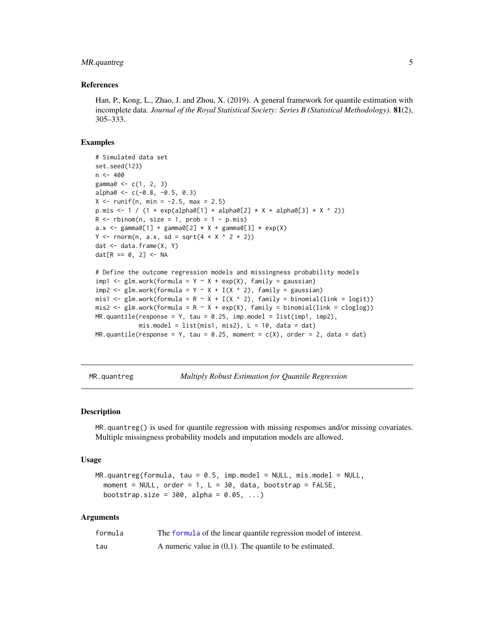#### <span id="page-4-0"></span>MR.quantreg 5

#### References

Han, P., Kong, L., Zhao, J. and Zhou, X. (2019). A general framework for quantile estimation with incomplete data. *Journal of the Royal Statistical Society: Series B (Statistical Methodology)*. 81(2), 305–333.

#### Examples

```
# Simulated data set
set.seed(123)
n < -400gamma0 \leq c(1, 2, 3)alpha0 \leq c(-0.8, -0.5, 0.3)X \le runif(n, min = -2.5, max = 2.5)
p.mis <- 1 / (1 + \exp(\text{alpha}[1] + \text{alpha}[2]) \times X + \text{alpha}[0] \times X \times 2))R \le - rbinom(n, size = 1, prob = 1 - p.mis)
a.x \le gamma0[1] + gamma0[2] * X + gamma0[3] * exp(X)
Y \leq -rnorm(n, a.x, sd = sqrt(4 * X ^ 2 + 2))dat <- data.frame(X, Y)
dat[R == 0, 2] < -NA# Define the outcome regression models and missingness probability models
impl \leftarrow glm.work(formula = Y ~ x + exp(X), family = gaussian)imp2 <- glm.work(formula = Y \sim X + I(X \sim 2), family = gaussian)
mis1 <- glm.work(formula = R \sim X + I(X \sim 2), family = binomial(link = logit))
mis2 \leq gluon. work (formula = R \sim X + exp(X), family = binomial (link = cloglog))
```

```
MR.quantile(response = Y, tau = 0.25, imp.model = list(imp1, imp2),mis.model = list(mis1, mis2), L = 10, data = dat)
MR.quantile(response = Y, tau = 0.25, moment = c(X), order = 2, data = dat)
```
MR.quantreg *Multiply Robust Estimation for Quantile Regression*

#### **Description**

MR.quantreg() is used for quantile regression with missing responses and/or missing covariates. Multiple missingness probability models and imputation models are allowed.

#### Usage

```
MR.quantreg(formula, tau = 0.5, imp.model = NULL, mis.model = NULL,moment = NULL, order = 1, L = 30, data, bootstrap = FALSE,
 bootstrap.size = 300, alpha = 0.05, ...)
```
#### Arguments

| formula | The formula of the linear quantile regression model of interest. |
|---------|------------------------------------------------------------------|
| tau     | A numeric value in $(0,1)$ . The quantile to be estimated.       |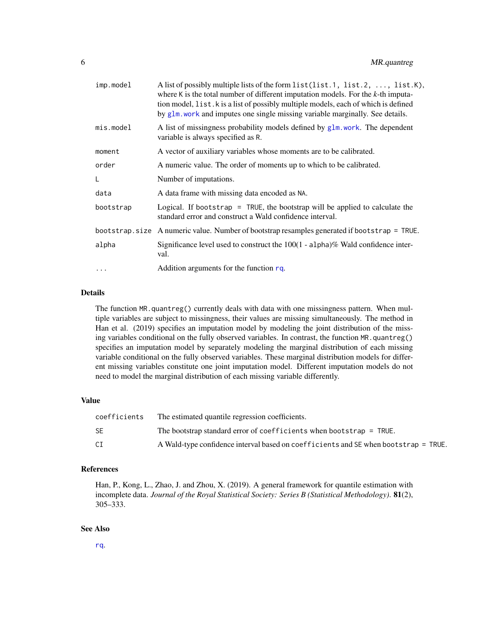<span id="page-5-0"></span>

| A list of possibly multiple lists of the form list(list.1, list.2, , list.K),<br>where K is the total number of different imputation models. For the $k$ -th imputa-<br>tion model, list. k is a list of possibly multiple models, each of which is defined<br>by glm, work and imputes one single missing variable marginally. See details. |
|----------------------------------------------------------------------------------------------------------------------------------------------------------------------------------------------------------------------------------------------------------------------------------------------------------------------------------------------|
| A list of missingness probability models defined by $g1m$ , work. The dependent<br>variable is always specified as R.                                                                                                                                                                                                                        |
| A vector of auxiliary variables whose moments are to be calibrated.                                                                                                                                                                                                                                                                          |
| A numeric value. The order of moments up to which to be calibrated.                                                                                                                                                                                                                                                                          |
| Number of imputations.                                                                                                                                                                                                                                                                                                                       |
| A data frame with missing data encoded as NA.                                                                                                                                                                                                                                                                                                |
| Logical. If bootstrap = TRUE, the bootstrap will be applied to calculate the<br>standard error and construct a Wald confidence interval.                                                                                                                                                                                                     |
| bootstrap.size A numeric value. Number of bootstrap resamples generated if bootstrap = TRUE.                                                                                                                                                                                                                                                 |
|                                                                                                                                                                                                                                                                                                                                              |
| Significance level used to construct the $100(1 - \text{alpha})\%$ Wald confidence inter-<br>val.                                                                                                                                                                                                                                            |
|                                                                                                                                                                                                                                                                                                                                              |

#### Details

The function MR.quantreg() currently deals with data with one missingness pattern. When multiple variables are subject to missingness, their values are missing simultaneously. The method in Han et al. (2019) specifies an imputation model by modeling the joint distribution of the missing variables conditional on the fully observed variables. In contrast, the function MR.quantreg() specifies an imputation model by separately modeling the marginal distribution of each missing variable conditional on the fully observed variables. These marginal distribution models for different missing variables constitute one joint imputation model. Different imputation models do not need to model the marginal distribution of each missing variable differently.

#### Value

| coefficients | The estimated quantile regression coefficients.                                     |
|--------------|-------------------------------------------------------------------------------------|
| SE           | The bootstrap standard error of coefficients when bootstrap $=$ TRUE.               |
| CI           | A Wald-type confidence interval based on coefficients and SE when bootstrap = TRUE. |

#### References

Han, P., Kong, L., Zhao, J. and Zhou, X. (2019). A general framework for quantile estimation with incomplete data. *Journal of the Royal Statistical Society: Series B (Statistical Methodology)*. 81(2), 305–333.

#### See Also

[rq](#page-0-0).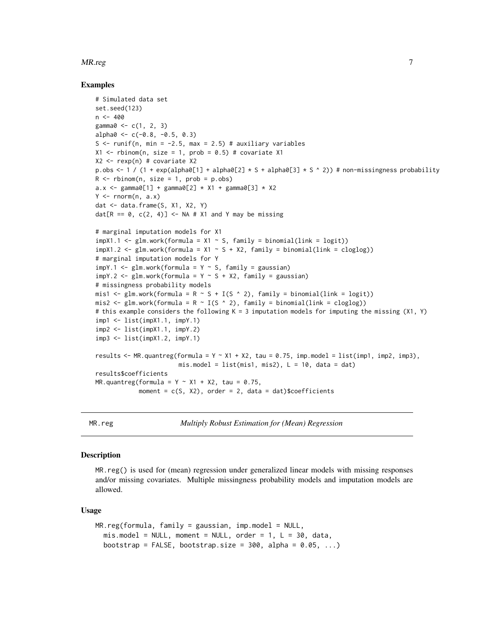#### <span id="page-6-0"></span>MR.reg 2012 2013 2014 2014 2015 2016 2017 2018 2019 2014 2016 2017 2018 2019 2017

#### Examples

```
# Simulated data set
set.seed(123)
n < -400gamma@ < -c(1, 2, 3)alpha0 < -c(-0.8, -0.5, 0.3)S \le runif(n, min = -2.5, max = 2.5) # auxiliary variables
X1 \leq - rbinom(n, size = 1, prob = 0.5) # covariate X1
X2 \leq -\text{resp}(n) # covariate X2
p.obs \leq -1 / (1 + \exp(\text{alpha}[1] + \text{alpha}[2] \times S + \text{alpha}[2]) \times S^{\wedge}(2)) # non-missingness probability
R \le - rbinom(n, size = 1, prob = p.obs)
a.x \leq-gamma0[1] + gamma0[2] + X1 + gamma0[3] + X2Y \leq -rnorm(n, a.x)dat <- data.frame(S, X1, X2, Y)
dat[R == 0, c(2, 4)] <- NA # X1 and Y may be missing
# marginal imputation models for X1
impX1.1 \leftarrow glm.work(formula = X1 \sim S, family = binomial(link = logit))impX1.2 \leq glm.work(formula = X1 - S + X2, family = binomial(link = cloglog))# marginal imputation models for Y
impY.1 \leq glm.work(formula = Y \leq S, family = gaussian)impY.2 \leq glm.work(formula = Y \leq S + X2, family = gaussian)# missingness probability models
mis1 <- glm.work(formula = R \sim S + I(S \land 2), family = binomial(link = logit))
mis2 <- glm.work(formula = R \sim I(S \land 2), family = binomial(link = cloglog))
# this example considers the following K = 3 imputation models for imputing the missing (X1, Y)
imp1 <- list(impX1.1, impY.1)
imp2 < - list(impX1.1, impY.2)
imp3 <- list(impX1.2, impY.1)
results <- MR.quantreg(formula = Y \sim X1 + X2, tau = 0.75, imp.model = list(imp1, imp2, imp3),
                         mis. model = list(mis1, mis2), L = 10, data = dat)
results$coefficients
MR.quantreg(formula = Y \sim X1 + X2, tau = 0.75,
             moment = c(S, X2), order = 2, data = dat)$coefficients
```
MR.reg *Multiply Robust Estimation for (Mean) Regression*

#### **Description**

MR.reg() is used for (mean) regression under generalized linear models with missing responses and/or missing covariates. Multiple missingness probability models and imputation models are allowed.

#### Usage

```
MR.readformula, family = gaussian, imp_model = NULL,mis_model = NULL, moment = NULL, order = 1, L = 30, data,bootstrap = FALSE, bootstrap.size = 300, alpha = 0.05, ...)
```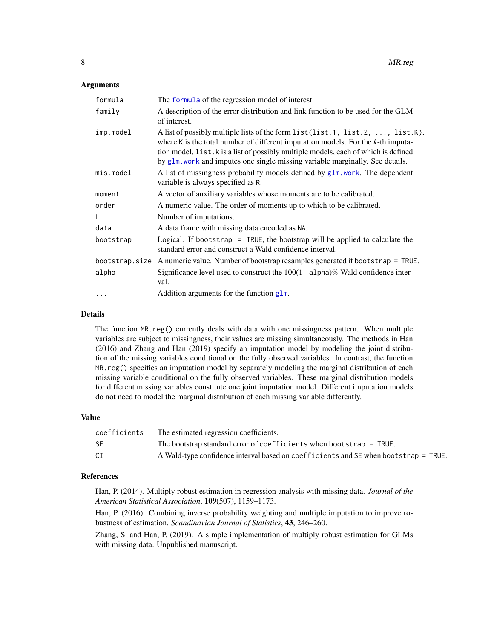#### <span id="page-7-0"></span>Arguments

| formula        | The formula of the regression model of interest.                                                                                                                                                                                                                                                                                              |
|----------------|-----------------------------------------------------------------------------------------------------------------------------------------------------------------------------------------------------------------------------------------------------------------------------------------------------------------------------------------------|
| family         | A description of the error distribution and link function to be used for the GLM<br>of interest.                                                                                                                                                                                                                                              |
| imp.model      | A list of possibly multiple lists of the form list (list.1, list.2, , list.K),<br>where K is the total number of different imputation models. For the $k$ -th imputa-<br>tion model, list. k is a list of possibly multiple models, each of which is defined<br>by glm. work and imputes one single missing variable marginally. See details. |
| $mis_model$    | A list of missingness probability models defined by glm. work. The dependent<br>variable is always specified as R.                                                                                                                                                                                                                            |
| moment         | A vector of auxiliary variables whose moments are to be calibrated.                                                                                                                                                                                                                                                                           |
| order          | A numeric value. The order of moments up to which to be calibrated.                                                                                                                                                                                                                                                                           |
| L              | Number of imputations.                                                                                                                                                                                                                                                                                                                        |
| data           | A data frame with missing data encoded as NA.                                                                                                                                                                                                                                                                                                 |
| bootstrap      | Logical. If bootstrap = TRUE, the bootstrap will be applied to calculate the<br>standard error and construct a Wald confidence interval.                                                                                                                                                                                                      |
| bootstrap.size | A numeric value. Number of bootstrap resamples generated if bootstrap = TRUE.                                                                                                                                                                                                                                                                 |
| alpha          | Significance level used to construct the $100(1 - \text{alpha})\%$ Wald confidence inter-<br>val.                                                                                                                                                                                                                                             |
| $\cdots$       | Addition arguments for the function glm.                                                                                                                                                                                                                                                                                                      |

#### Details

The function MR.reg() currently deals with data with one missingness pattern. When multiple variables are subject to missingness, their values are missing simultaneously. The methods in Han (2016) and Zhang and Han (2019) specify an imputation model by modeling the joint distribution of the missing variables conditional on the fully observed variables. In contrast, the function MR.reg() specifies an imputation model by separately modeling the marginal distribution of each missing variable conditional on the fully observed variables. These marginal distribution models for different missing variables constitute one joint imputation model. Different imputation models do not need to model the marginal distribution of each missing variable differently.

#### Value

| coefficients | The estimated regression coefficients.                                              |
|--------------|-------------------------------------------------------------------------------------|
| SE           | The bootstrap standard error of coefficients when bootstrap $=$ TRUE.               |
| CI           | A Wald-type confidence interval based on coefficients and SE when bootstrap = TRUE. |

#### References

Han, P. (2014). Multiply robust estimation in regression analysis with missing data. *Journal of the American Statistical Association*, 109(507), 1159–1173.

Han, P. (2016). Combining inverse probability weighting and multiple imputation to improve robustness of estimation. *Scandinavian Journal of Statistics*, 43, 246–260.

Zhang, S. and Han, P. (2019). A simple implementation of multiply robust estimation for GLMs with missing data. Unpublished manuscript.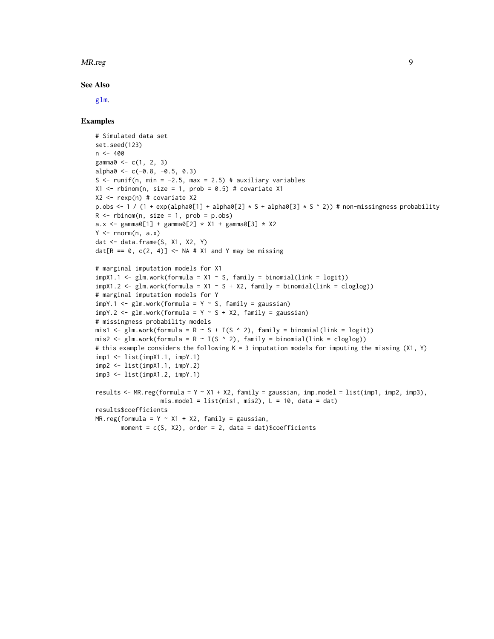#### <span id="page-8-0"></span>MR.reg 9

#### See Also

[glm](#page-0-0).

#### Examples

```
# Simulated data set
set.seed(123)
n < -400gamma0 \leq c(1, 2, 3)alpha0 \leq c(-0.8, -0.5, 0.3)S \le runif(n, min = -2.5, max = 2.5) # auxiliary variables
X1 \leftarrow rbinom(n, size = 1, prob = 0.5) # covariate X1
X2 \leq -\text{resp}(n) # covariate X2
p.obs \leq -1 / (1 + exp(alpha0[1] + alpha0[2] \star S + alpha0[3] \star S \sim 2)) # non-missingness probability
R \le - rbinom(n, size = 1, prob = p.obs)
a.x \le gamma0[1] + gamma0[2] * X1 + gamma0[3] * X2
Y \leftarrow \text{norm}(n, a.x)dat <- data.frame(S, X1, X2, Y)
dat[R == 0, c(2, 4)] <- NA # X1 and Y may be missing
# marginal imputation models for X1
impX1.1 \leftarrow glm.work(formula = X1 \sim S, family = binomial(link = logit))impX1.2 \leq glm.work(formula = X1 - S + X2, family = binomial(link = cloglog))# marginal imputation models for Y
impY.1 \leq glm.work(formula = Y \leq S, family = gaussian)impY.2 \leq glm.work(formula = Y \leq S + X2, family = gaussian)# missingness probability models
mis1 <- glm.work(formula = R \sim S + I(S \sim 2), family = binomial(link = logit))
mis2 <- glm.work(formula = R \sim I(S \land 2), family = binomial(link = cloglog))
# this example considers the following K = 3 imputation models for imputing the missing (X1, Y)
imp1 <- list(impX1.1, impY.1)
imp2 <- list(impX1.1, impY.2)
imp3 <- list(impX1.2, impY.1)
results <- MR.reg(formula = Y ~ X1 + X2, family = gaussian, imp.model = list(imp1, imp2, imp3),
                   mis.model = list(mis1, mis2), L = 10, data = dat)
results$coefficients
MR.readformula = Y ~ x1 + X2, family = gaussian,
       moment = c(S, X2), order = 2, data = dat)$coefficients
```